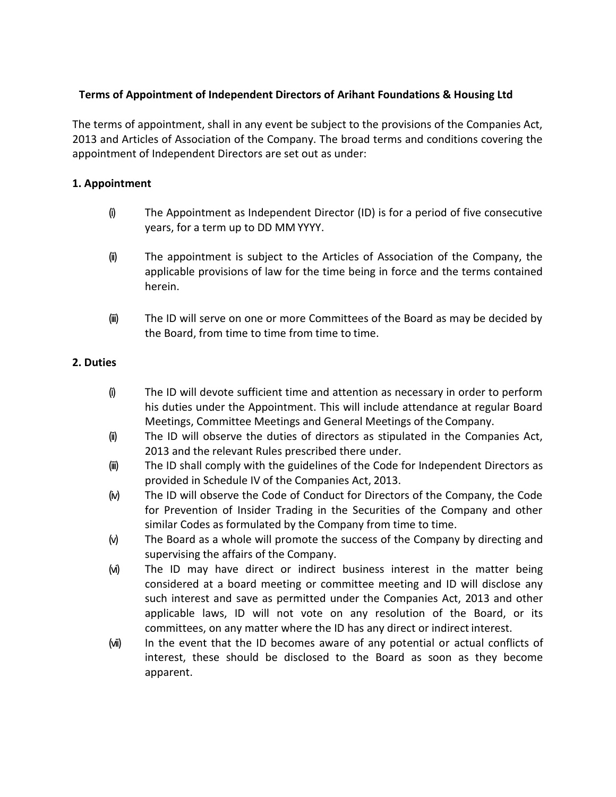# **Terms of Appointment of Independent Directors of Arihant Foundations & Housing Ltd**

The terms of appointment, shall in any event be subject to the provisions of the Companies Act, 2013 and Articles of Association of the Company. The broad terms and conditions covering the appointment of Independent Directors are set out as under:

# **1. Appointment**

- (i) The Appointment as Independent Director (ID) is for a period of five consecutive years, for a term up to DD MM YYYY.
- (ii) The appointment is subject to the Articles of Association of the Company, the applicable provisions of law for the time being in force and the terms contained herein.
- (iii) The ID will serve on one or more Committees of the Board as may be decided by the Board, from time to time from time to time.

# **2. Duties**

- (i) The ID will devote sufficient time and attention as necessary in order to perform his duties under the Appointment. This will include attendance at regular Board Meetings, Committee Meetings and General Meetings of the Company.
- (ii) The ID will observe the duties of directors as stipulated in the Companies Act, 2013 and the relevant Rules prescribed there under.
- (iii) The ID shall comply with the guidelines of the Code for Independent Directors as provided in Schedule IV of the Companies Act, 2013.
- (iv) The ID will observe the Code of Conduct for Directors of the Company, the Code for Prevention of Insider Trading in the Securities of the Company and other similar Codes as formulated by the Company from time to time.
- (v) The Board as a whole will promote the success of the Company by directing and supervising the affairs of the Company.
- (vi) The ID may have direct or indirect business interest in the matter being considered at a board meeting or committee meeting and ID will disclose any such interest and save as permitted under the Companies Act, 2013 and other applicable laws, ID will not vote on any resolution of the Board, or its committees, on any matter where the ID has any direct or indirect interest.
- (vii) In the event that the ID becomes aware of any potential or actual conflicts of interest, these should be disclosed to the Board as soon as they become apparent.